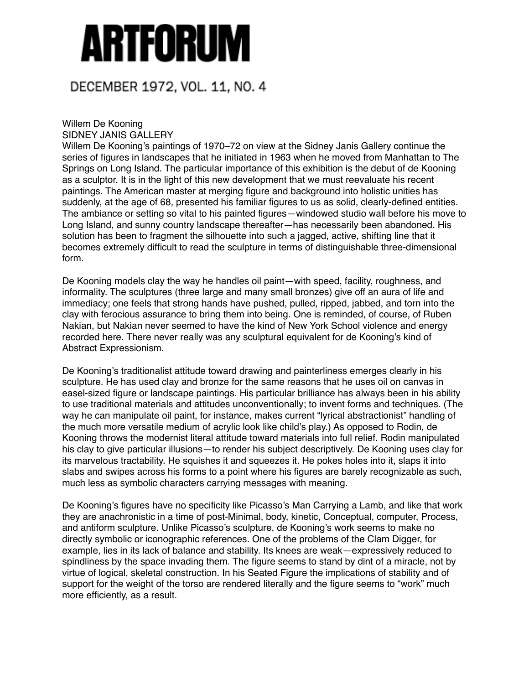## ARTFORUM

## DECEMBER 1972, VOL. 11, NO. 4

## Willem De Kooning SIDNEY JANIS GALLERY

Willem De Kooning's paintings of 1970–72 on view at the Sidney Janis Gallery continue the series of figures in landscapes that he initiated in 1963 when he moved from Manhattan to The Springs on Long Island. The particular importance of this exhibition is the debut of de Kooning as a sculptor. It is in the light of this new development that we must reevaluate his recent paintings. The American master at merging figure and background into holistic unities has suddenly, at the age of 68, presented his familiar figures to us as solid, clearly-defined entities. The ambiance or setting so vital to his painted figures—windowed studio wall before his move to Long Island, and sunny country landscape thereafter—has necessarily been abandoned. His solution has been to fragment the silhouette into such a jagged, active, shifting line that it becomes extremely difficult to read the sculpture in terms of distinguishable three-dimensional form.

De Kooning models clay the way he handles oil paint—with speed, facility, roughness, and informality. The sculptures (three large and many small bronzes) give off an aura of life and immediacy; one feels that strong hands have pushed, pulled, ripped, jabbed, and torn into the clay with ferocious assurance to bring them into being. One is reminded, of course, of Ruben Nakian, but Nakian never seemed to have the kind of New York School violence and energy recorded here. There never really was any sculptural equivalent for de Kooning's kind of Abstract Expressionism.

De Kooning's traditionalist attitude toward drawing and painterliness emerges clearly in his sculpture. He has used clay and bronze for the same reasons that he uses oil on canvas in easel-sized figure or landscape paintings. His particular brilliance has always been in his ability to use traditional materials and attitudes unconventionally; to invent forms and techniques. (The way he can manipulate oil paint, for instance, makes current "lyrical abstractionist" handling of the much more versatile medium of acrylic look like child's play.) As opposed to Rodin, de Kooning throws the modernist literal attitude toward materials into full relief. Rodin manipulated his clay to give particular illusions—to render his subject descriptively. De Kooning uses clay for its marvelous tractability. He squishes it and squeezes it. He pokes holes into it, slaps it into slabs and swipes across his forms to a point where his figures are barely recognizable as such, much less as symbolic characters carrying messages with meaning.

De Kooning's figures have no specificity like Picasso's Man Carrying a Lamb, and like that work they are anachronistic in a time of post-Minimal, body, kinetic, Conceptual, computer, Process, and antiform sculpture. Unlike Picasso's sculpture, de Kooning's work seems to make no directly symbolic or iconographic references. One of the problems of the Clam Digger, for example, lies in its lack of balance and stability. Its knees are weak—expressively reduced to spindliness by the space invading them. The figure seems to stand by dint of a miracle, not by virtue of logical, skeletal construction. In his Seated Figure the implications of stability and of support for the weight of the torso are rendered literally and the figure seems to "work" much more efficiently, as a result.